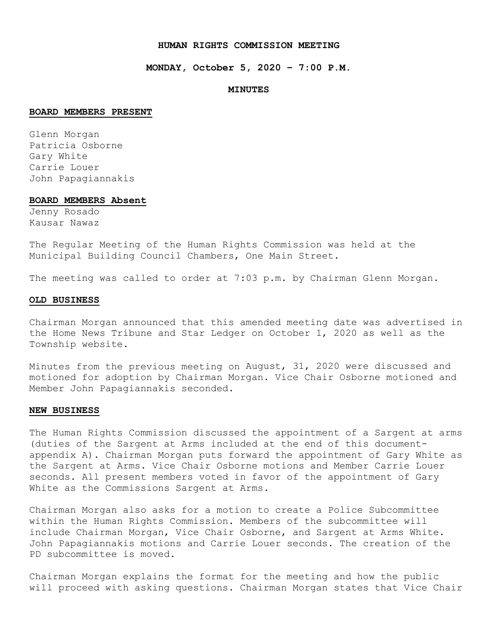#### **HUMAN RIGHTS COMMISSION MEETING**

**MONDAY, October 5, 2020 – 7:00 P.M.** 

#### **MINUTES**

#### **BOARD MEMBERS PRESENT**

Glenn Morgan Patricia Osborne Gary White Carrie Louer John Papagiannakis

#### **BOARD MEMBERS Absent**

Jenny Rosado Kausar Nawaz

The Regular Meeting of the Human Rights Commission was held at the Municipal Building Council Chambers, One Main Street.

The meeting was called to order at 7:03 p.m. by Chairman Glenn Morgan.

#### **OLD BUSINESS**

Chairman Morgan announced that this amended meeting date was advertised in the Home News Tribune and Star Ledger on October 1, 2020 as well as the Township website.

Minutes from the previous meeting on August, 31, 2020 were discussed and motioned for adoption by Chairman Morgan. Vice Chair Osborne motioned and Member John Papagiannakis seconded.

#### **NEW BUSINESS**

The Human Rights Commission discussed the appointment of a Sargent at arms (duties of the Sargent at Arms included at the end of this documentappendix A). Chairman Morgan puts forward the appointment of Gary White as the Sargent at Arms. Vice Chair Osborne motions and Member Carrie Louer seconds. All present members voted in favor of the appointment of Gary White as the Commissions Sargent at Arms.

Chairman Morgan also asks for a motion to create a Police Subcommittee within the Human Rights Commission. Members of the subcommittee will include Chairman Morgan, Vice Chair Osborne, and Sargent at Arms White. John Papagiannakis motions and Carrie Louer seconds. The creation of the PD subcommittee is moved.

Chairman Morgan explains the format for the meeting and how the public will proceed with asking questions. Chairman Morgan states that Vice Chair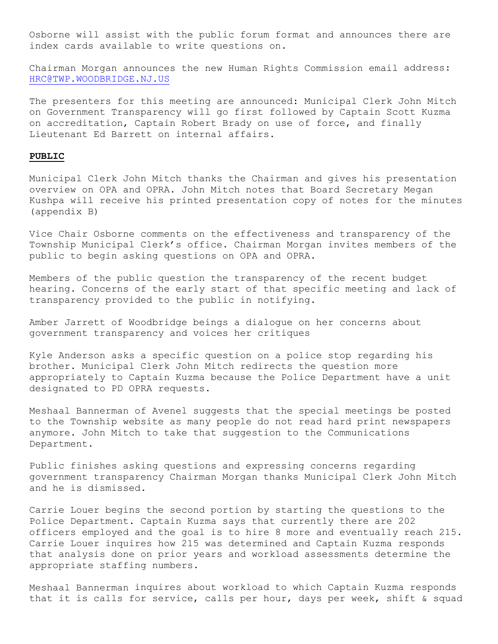Osborne will assist with the public forum format and announces there are index cards available to write questions on.

Chairman Morgan announces the new Human Rights Commission email address: [HRC@TWP.WOODBRIDGE.NJ.US](mailto:HRC@TWP.WOODBRIDGE.NJ.US)

The presenters for this meeting are announced: Municipal Clerk John Mitch on Government Transparency will go first followed by Captain Scott Kuzma on accreditation, Captain Robert Brady on use of force, and finally Lieutenant Ed Barrett on internal affairs.

#### **PUBLIC**

Municipal Clerk John Mitch thanks the Chairman and gives his presentation overview on OPA and OPRA. John Mitch notes that Board Secretary Megan Kushpa will receive his printed presentation copy of notes for the minutes (appendix B)

Vice Chair Osborne comments on the effectiveness and transparency of the Township Municipal Clerk's office. Chairman Morgan invites members of the public to begin asking questions on OPA and OPRA.

Members of the public question the transparency of the recent budget hearing. Concerns of the early start of that specific meeting and lack of transparency provided to the public in notifying.

Amber Jarrett of Woodbridge beings a dialogue on her concerns about government transparency and voices her critiques

Kyle Anderson asks a specific question on a police stop regarding his brother. Municipal Clerk John Mitch redirects the question more appropriately to Captain Kuzma because the Police Department have a unit designated to PD OPRA requests.

Meshaal Bannerman of Avenel suggests that the special meetings be posted to the Township website as many people do not read hard print newspapers anymore. John Mitch to take that suggestion to the Communications Department.

Public finishes asking questions and expressing concerns regarding government transparency Chairman Morgan thanks Municipal Clerk John Mitch and he is dismissed.

Carrie Louer begins the second portion by starting the questions to the Police Department. Captain Kuzma says that currently there are 202 officers employed and the goal is to hire 8 more and eventually reach 215. Carrie Louer inquires how 215 was determined and Captain Kuzma responds that analysis done on prior years and workload assessments determine the appropriate staffing numbers.

Meshaal Bannerman inquires about workload to which Captain Kuzma responds that it is calls for service, calls per hour, days per week, shift & squad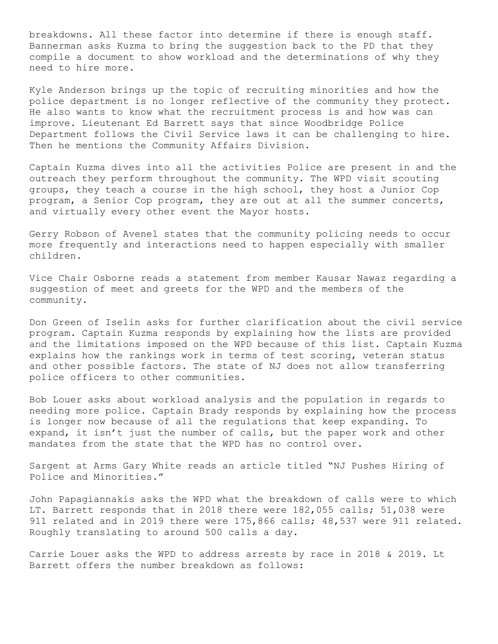breakdowns. All these factor into determine if there is enough staff. Bannerman asks Kuzma to bring the suggestion back to the PD that they compile a document to show workload and the determinations of why they need to hire more.

Kyle Anderson brings up the topic of recruiting minorities and how the police department is no longer reflective of the community they protect. He also wants to know what the recruitment process is and how was can improve. Lieutenant Ed Barrett says that since Woodbridge Police Department follows the Civil Service laws it can be challenging to hire. Then he mentions the Community Affairs Division.

Captain Kuzma dives into all the activities Police are present in and the outreach they perform throughout the community. The WPD visit scouting groups, they teach a course in the high school, they host a Junior Cop program, a Senior Cop program, they are out at all the summer concerts, and virtually every other event the Mayor hosts.

Gerry Robson of Avenel states that the community policing needs to occur more frequently and interactions need to happen especially with smaller children.

Vice Chair Osborne reads a statement from member Kausar Nawaz regarding a suggestion of meet and greets for the WPD and the members of the community.

Don Green of Iselin asks for further clarification about the civil service program. Captain Kuzma responds by explaining how the lists are provided and the limitations imposed on the WPD because of this list. Captain Kuzma explains how the rankings work in terms of test scoring, veteran status and other possible factors. The state of NJ does not allow transferring police officers to other communities.

Bob Louer asks about workload analysis and the population in regards to needing more police. Captain Brady responds by explaining how the process is longer now because of all the regulations that keep expanding. To expand, it isn't just the number of calls, but the paper work and other mandates from the state that the WPD has no control over.

Sargent at Arms Gary White reads an article titled "NJ Pushes Hiring of Police and Minorities."

John Papagiannakis asks the WPD what the breakdown of calls were to which LT. Barrett responds that in 2018 there were 182,055 calls; 51,038 were 911 related and in 2019 there were 175,866 calls; 48,537 were 911 related. Roughly translating to around 500 calls a day.

Carrie Louer asks the WPD to address arrests by race in 2018 & 2019. Lt Barrett offers the number breakdown as follows: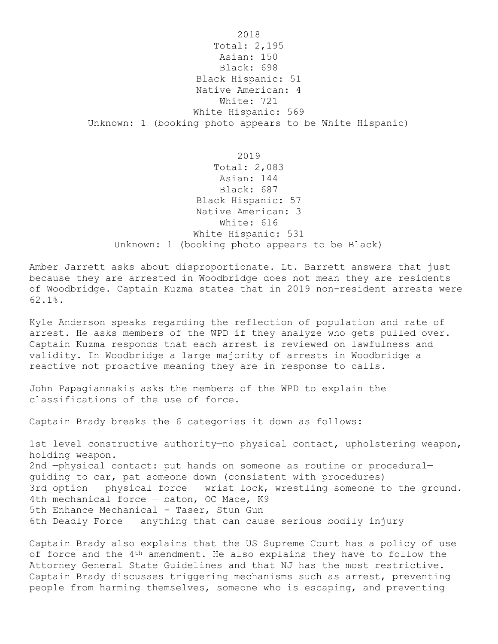2018 Total: 2,195 Asian: 150 Black: 698 Black Hispanic: 51 Native American: 4 White: 721 White Hispanic: 569 Unknown: 1 (booking photo appears to be White Hispanic)

2019 Total: 2,083 Asian: 144 Black: 687 Black Hispanic: 57 Native American: 3 White: 616 White Hispanic: 531 Unknown: 1 (booking photo appears to be Black)

Amber Jarrett asks about disproportionate. Lt. Barrett answers that just because they are arrested in Woodbridge does not mean they are residents of Woodbridge. Captain Kuzma states that in 2019 non-resident arrests were 62.1%.

Kyle Anderson speaks regarding the reflection of population and rate of arrest. He asks members of the WPD if they analyze who gets pulled over. Captain Kuzma responds that each arrest is reviewed on lawfulness and validity. In Woodbridge a large majority of arrests in Woodbridge a reactive not proactive meaning they are in response to calls.

John Papagiannakis asks the members of the WPD to explain the classifications of the use of force.

Captain Brady breaks the 6 categories it down as follows:

1st level constructive authority-no physical contact, upholstering weapon, holding weapon. 2nd —physical contact: put hands on someone as routine or procedural guiding to car, pat someone down (consistent with procedures) 3rd option  $-$  physical force  $-$  wrist lock, wrestling someone to the ground. 4th mechanical force — baton, OC Mace, K9 5th Enhance Mechanical - Taser, Stun Gun 6th Deadly Force — anything that can cause serious bodily injury

Captain Brady also explains that the US Supreme Court has a policy of use of force and the 4<sup>th</sup> amendment. He also explains they have to follow the Attorney General State Guidelines and that NJ has the most restrictive. Captain Brady discusses triggering mechanisms such as arrest, preventing people from harming themselves, someone who is escaping, and preventing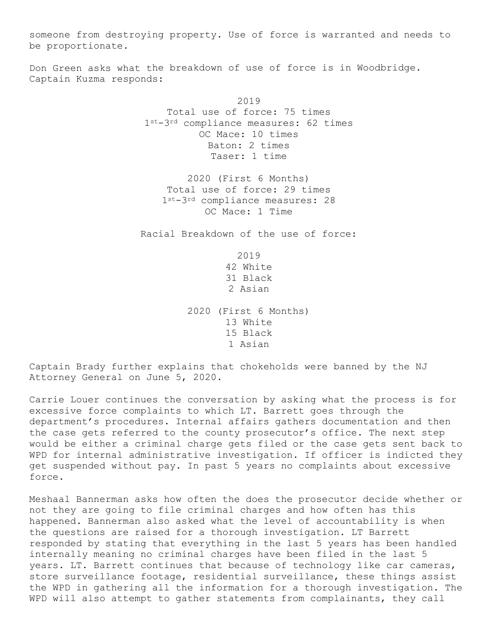someone from destroying property. Use of force is warranted and needs to be proportionate.

Don Green asks what the breakdown of use of force is in Woodbridge. Captain Kuzma responds:

> 2019 Total use of force: 75 times 1st-3rd compliance measures: 62 times OC Mace: 10 times Baton: 2 times Taser: 1 time

2020 (First 6 Months) Total use of force: 29 times 1st-3rd compliance measures: 28 OC Mace: 1 Time

Racial Breakdown of the use of force:

2019 42 White 31 Black 2 Asian

2020 (First 6 Months) 13 White 15 Black 1 Asian

Captain Brady further explains that chokeholds were banned by the NJ Attorney General on June 5, 2020.

Carrie Louer continues the conversation by asking what the process is for excessive force complaints to which LT. Barrett goes through the department's procedures. Internal affairs gathers documentation and then the case gets referred to the county prosecutor's office. The next step would be either a criminal charge gets filed or the case gets sent back to WPD for internal administrative investigation. If officer is indicted they get suspended without pay. In past 5 years no complaints about excessive force.

Meshaal Bannerman asks how often the does the prosecutor decide whether or not they are going to file criminal charges and how often has this happened. Bannerman also asked what the level of accountability is when the questions are raised for a thorough investigation. LT Barrett responded by stating that everything in the last 5 years has been handled internally meaning no criminal charges have been filed in the last 5 years. LT. Barrett continues that because of technology like car cameras, store surveillance footage, residential surveillance, these things assist the WPD in gathering all the information for a thorough investigation. The WPD will also attempt to gather statements from complainants, they call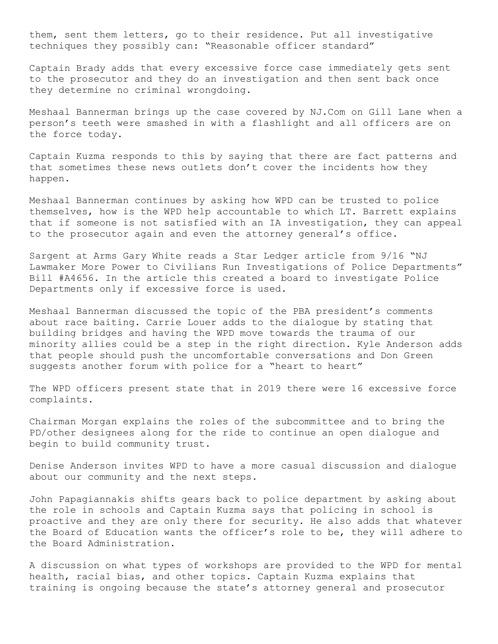them, sent them letters, go to their residence. Put all investigative techniques they possibly can: "Reasonable officer standard"

Captain Brady adds that every excessive force case immediately gets sent to the prosecutor and they do an investigation and then sent back once they determine no criminal wrongdoing.

Meshaal Bannerman brings up the case covered by NJ.Com on Gill Lane when a person's teeth were smashed in with a flashlight and all officers are on the force today.

Captain Kuzma responds to this by saying that there are fact patterns and that sometimes these news outlets don't cover the incidents how they happen.

Meshaal Bannerman continues by asking how WPD can be trusted to police themselves, how is the WPD help accountable to which LT. Barrett explains that if someone is not satisfied with an IA investigation, they can appeal to the prosecutor again and even the attorney general's office.

Sargent at Arms Gary White reads a Star Ledger article from 9/16 "NJ Lawmaker More Power to Civilians Run Investigations of Police Departments" Bill #A4656. In the article this created a board to investigate Police Departments only if excessive force is used.

Meshaal Bannerman discussed the topic of the PBA president's comments about race baiting. Carrie Louer adds to the dialogue by stating that building bridges and having the WPD move towards the trauma of our minority allies could be a step in the right direction. Kyle Anderson adds that people should push the uncomfortable conversations and Don Green suggests another forum with police for a "heart to heart"

The WPD officers present state that in 2019 there were 16 excessive force complaints.

Chairman Morgan explains the roles of the subcommittee and to bring the PD/other designees along for the ride to continue an open dialogue and begin to build community trust.

Denise Anderson invites WPD to have a more casual discussion and dialogue about our community and the next steps.

John Papagiannakis shifts gears back to police department by asking about the role in schools and Captain Kuzma says that policing in school is proactive and they are only there for security. He also adds that whatever the Board of Education wants the officer's role to be, they will adhere to the Board Administration.

A discussion on what types of workshops are provided to the WPD for mental health, racial bias, and other topics. Captain Kuzma explains that training is ongoing because the state's attorney general and prosecutor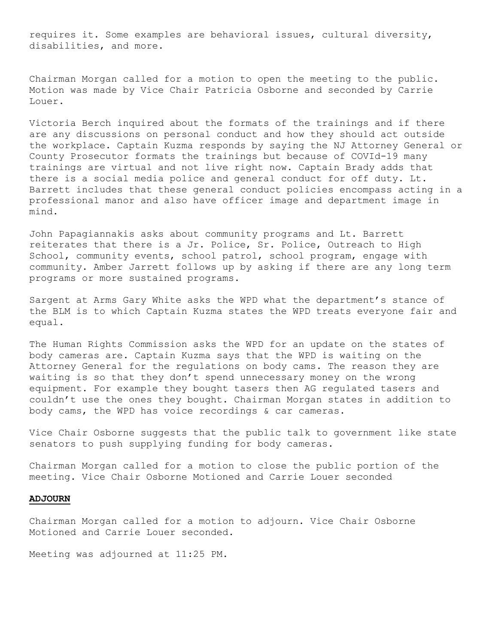requires it. Some examples are behavioral issues, cultural diversity, disabilities, and more.

Chairman Morgan called for a motion to open the meeting to the public. Motion was made by Vice Chair Patricia Osborne and seconded by Carrie Louer.

Victoria Berch inquired about the formats of the trainings and if there are any discussions on personal conduct and how they should act outside the workplace. Captain Kuzma responds by saying the NJ Attorney General or County Prosecutor formats the trainings but because of COVId-19 many trainings are virtual and not live right now. Captain Brady adds that there is a social media police and general conduct for off duty. Lt. Barrett includes that these general conduct policies encompass acting in a professional manor and also have officer image and department image in mind.

John Papagiannakis asks about community programs and Lt. Barrett reiterates that there is a Jr. Police, Sr. Police, Outreach to High School, community events, school patrol, school program, engage with community. Amber Jarrett follows up by asking if there are any long term programs or more sustained programs.

Sargent at Arms Gary White asks the WPD what the department's stance of the BLM is to which Captain Kuzma states the WPD treats everyone fair and equal.

The Human Rights Commission asks the WPD for an update on the states of body cameras are. Captain Kuzma says that the WPD is waiting on the Attorney General for the regulations on body cams. The reason they are waiting is so that they don't spend unnecessary money on the wrong equipment. For example they bought tasers then AG regulated tasers and couldn't use the ones they bought. Chairman Morgan states in addition to body cams, the WPD has voice recordings & car cameras.

Vice Chair Osborne suggests that the public talk to government like state senators to push supplying funding for body cameras.

Chairman Morgan called for a motion to close the public portion of the meeting. Vice Chair Osborne Motioned and Carrie Louer seconded

#### **ADJOURN**

Chairman Morgan called for a motion to adjourn. Vice Chair Osborne Motioned and Carrie Louer seconded.

Meeting was adjourned at 11:25 PM.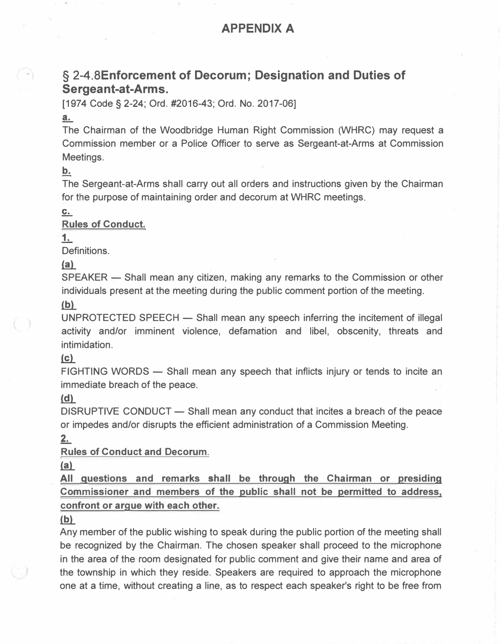## **APPENDIX A**

## **§ 2-4.BEnforcement of Decorum; Designation and Duties of Sergeant-at-Arms.**

[1974 Code§ **2-24;** Ord. #2016-43; Ord. No. 2017-06]

## a.

The Chairman of the Woodbridge Human Right Commission (WHRC) may request a Commission member or a Police Officer to serve as Sergeant-at-Arms at Commission Meetings.

**b.** 

The Sergeant-at-Arms shall carry out all orders and instructions given by the Chairman for the purpose of maintaining order and decorum at WHRC meetings.

 $C_{\cdot\cdot\cdot}$ 

**Rules of Conduct.** 

 $1.$ 

Definitions.

 $(a)$ 

SPEAKER - Shall mean any citizen, making any remarks to the Commission or other individuals present at the meeting during the public comment portion of the meeting.

 $(b)$ 

UNPROTECTED SPEECH  $-$  Shall mean any speech inferring the incitement of illegal activity and/or imminent violence, defamation and libel, obscenity, threats and intimidation.

## $\mathbf{(c)}$

FIGHTING WORDS — Shall mean any speech that inflicts injury or tends to incite an immediate breach of the peace.

## $(d)$

DISRUPTIVE CONDUCT — Shall mean any conduct that incites a breach of the peace or impedes and/or disrupts the efficient administration of a Commission Meeting.

 $2.$ 

**Rules of Conduct and Decorum.** 

 $(a)$ 

**All questions and remarks shall be through the Chairman or presiding Commissioner and members of the public shall not be permitted to address, confront or argue with each other.** 

## $(b)$

Any member of the public wishing to speak during the public portion of the meeting shall be recognized by the Chairman. The chosen speaker shall proceed to the microphone in the area of the room designated for public comment and give their name and area of the township in which they reside. Speakers are required to approach the microphone one at a time, without creating a line, as to respect each speaker's right to be free from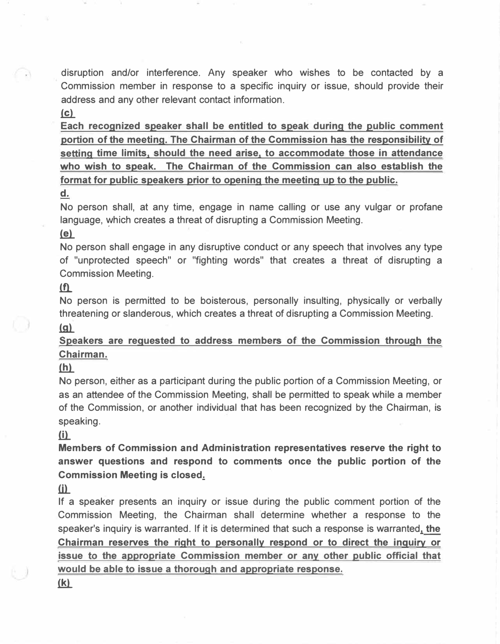disruption and/or interference. Any speaker who wishes to be contacted by a Commission member in response to a specific inquiry or issue, should provide their address and any other relevant contact information.

## $(c)$

C W

**Each recognized speaker shall be entitled to speak during the public comment portion of the meeting. The Chairman of the Commission has the responsibility of setting time limits, should the need arise, to accommodate those in attendance who wish to speak. The Chairman of the Commission can also establish the format for public speakers prior to opening the meeting up to the public.** 

#### **d.**

No person shall, at any time, engage in name calling or use any vulgar or profane language, which creates a threat of disrupting a Commission Meeting.

#### $(e)$

No person shall engage in any disruptive conduct or any speech that involves any type of "unprotected speech" or "fighting words" that creates a threat of disrupting a Commission Meeting .

### $(f)$

No person is permitted to be boisterous, personally insulting, physically or verbally threatening or slanderous, which creates a threat of disrupting a Commission Meeting .  $(a)$ 

## **Speakers are requested to address members of the Commission through the Chairman.**

## $(h)$

No person, either as a participant during the public portion of a Commission Meeting, or as an attendee of the Commission Meeting, shall be permitted to speak while a member of the Commission, or another individual that has been recognized by the Chairman, is speaking.

#### $(i)$

**Members of Commission and Administration representatives reserve the right to answer questions and respond to comments once the public portion of the Commission Meeting is closed.:.**

#### (i)

If a speaker presents an inquiry or issue during the public comment portion of the Commission Meeting, the Chairman shall determine whether a response to the speaker's inquiry is warranted. If it is determined that such a response is warranted, **the Chairman reserves the right to personally respond or to direct the inquiry or issue** to **the appropriate Commission member or any other public official that would be able to issue a thorough and appropriate response.** 

#### <u>(k)</u>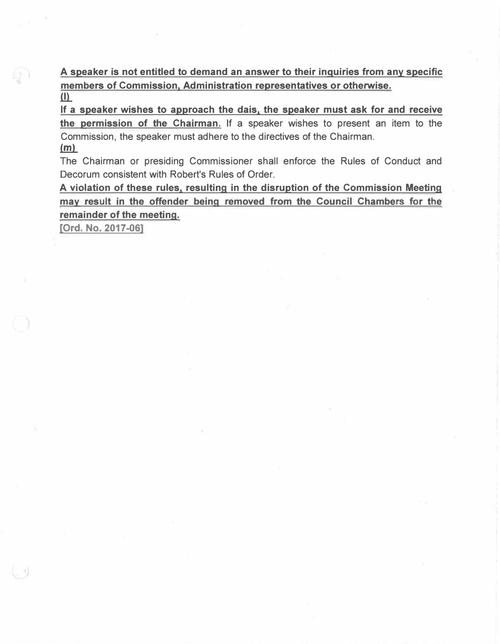**A speaker is not entitled to demand an answer to their inquiries from any specific members of Commission, Administration representatives or otherwise.**   $\overline{(\cdot)}$ 

**If a speaker wishes to approach the dais, the speaker must ask for and receive the permission of the Chairman.** If a speaker wishes to present an item to the Commission, the speaker must adhere to the directives of the Chairman.  $(m)$ 

The Chairman or presiding Commissioner shall enforce the Rules of Conduct and Decorum consistent with Robert's Rules of Order.

**A violation of these rules, resulting in the disruption of the Commission Meeting may result in the offender being removed from the Council Chambers for the remainder of the meeting.** 

[Ord. No. 2017-06]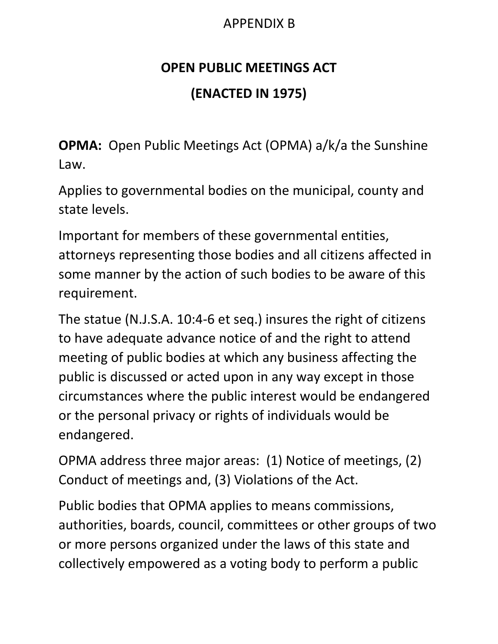# APPENDIX B

# **OPEN PUBLIC MEETINGS ACT (ENACTED IN 1975)**

**OPMA:** Open Public Meetings Act (OPMA) a/k/a the Sunshine Law.

Applies to governmental bodies on the municipal, county and state levels.

Important for members of these governmental entities, attorneys representing those bodies and all citizens affected in some manner by the action of such bodies to be aware of this requirement.

The statue (N.J.S.A. 10:4-6 et seq.) insures the right of citizens to have adequate advance notice of and the right to attend meeting of public bodies at which any business affecting the public is discussed or acted upon in any way except in those circumstances where the public interest would be endangered or the personal privacy or rights of individuals would be endangered.

OPMA address three major areas: (1) Notice of meetings, (2) Conduct of meetings and, (3) Violations of the Act.

Public bodies that OPMA applies to means commissions, authorities, boards, council, committees or other groups of two or more persons organized under the laws of this state and collectively empowered as a voting body to perform a public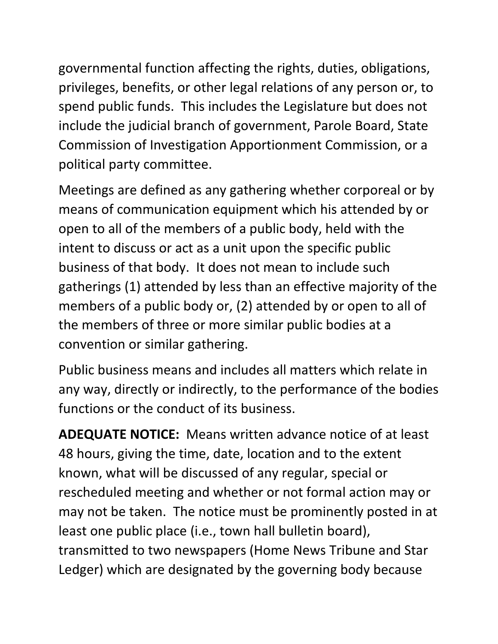governmental function affecting the rights, duties, obligations, privileges, benefits, or other legal relations of any person or, to spend public funds. This includes the Legislature but does not include the judicial branch of government, Parole Board, State Commission of Investigation Apportionment Commission, or a political party committee.

Meetings are defined as any gathering whether corporeal or by means of communication equipment which his attended by or open to all of the members of a public body, held with the intent to discuss or act as a unit upon the specific public business of that body. It does not mean to include such gatherings (1) attended by less than an effective majority of the members of a public body or, (2) attended by or open to all of the members of three or more similar public bodies at a convention or similar gathering.

Public business means and includes all matters which relate in any way, directly or indirectly, to the performance of the bodies functions or the conduct of its business.

**ADEQUATE NOTICE:** Means written advance notice of at least 48 hours, giving the time, date, location and to the extent known, what will be discussed of any regular, special or rescheduled meeting and whether or not formal action may or may not be taken. The notice must be prominently posted in at least one public place (i.e., town hall bulletin board), transmitted to two newspapers (Home News Tribune and Star Ledger) which are designated by the governing body because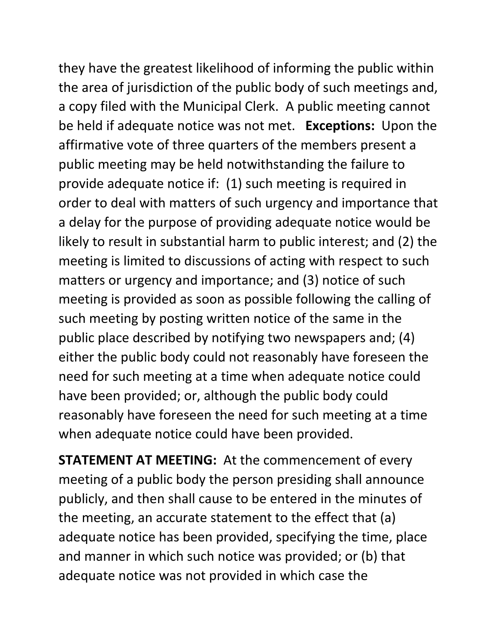they have the greatest likelihood of informing the public within the area of jurisdiction of the public body of such meetings and, a copy filed with the Municipal Clerk. A public meeting cannot be held if adequate notice was not met. **Exceptions:** Upon the affirmative vote of three quarters of the members present a public meeting may be held notwithstanding the failure to provide adequate notice if: (1) such meeting is required in order to deal with matters of such urgency and importance that a delay for the purpose of providing adequate notice would be likely to result in substantial harm to public interest; and (2) the meeting is limited to discussions of acting with respect to such matters or urgency and importance; and (3) notice of such meeting is provided as soon as possible following the calling of such meeting by posting written notice of the same in the public place described by notifying two newspapers and; (4) either the public body could not reasonably have foreseen the need for such meeting at a time when adequate notice could have been provided; or, although the public body could reasonably have foreseen the need for such meeting at a time when adequate notice could have been provided.

**STATEMENT AT MEETING:** At the commencement of every meeting of a public body the person presiding shall announce publicly, and then shall cause to be entered in the minutes of the meeting, an accurate statement to the effect that (a) adequate notice has been provided, specifying the time, place and manner in which such notice was provided; or (b) that adequate notice was not provided in which case the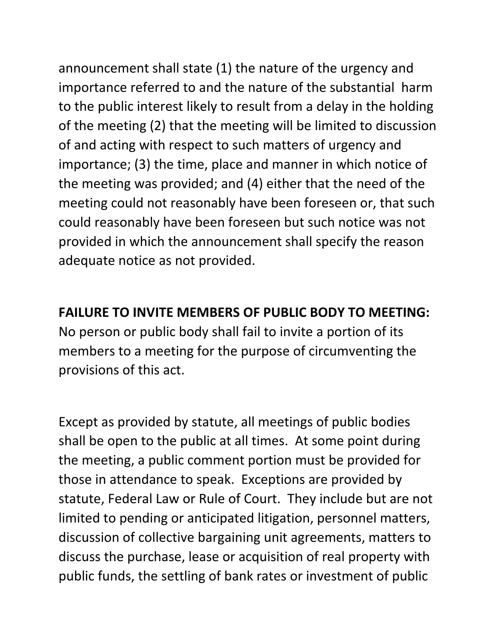announcement shall state (1) the nature of the urgency and importance referred to and the nature of the substantial harm to the public interest likely to result from a delay in the holding of the meeting (2) that the meeting will be limited to discussion of and acting with respect to such matters of urgency and importance; (3) the time, place and manner in which notice of the meeting was provided; and (4) either that the need of the meeting could not reasonably have been foreseen or, that such could reasonably have been foreseen but such notice was not provided in which the announcement shall specify the reason adequate notice as not provided.

**FAILURE TO INVITE MEMBERS OF PUBLIC BODY TO MEETING:**  No person or public body shall fail to invite a portion of its members to a meeting for the purpose of circumventing the provisions of this act.

Except as provided by statute, all meetings of public bodies shall be open to the public at all times. At some point during the meeting, a public comment portion must be provided for those in attendance to speak. Exceptions are provided by statute, Federal Law or Rule of Court. They include but are not limited to pending or anticipated litigation, personnel matters, discussion of collective bargaining unit agreements, matters to discuss the purchase, lease or acquisition of real property with public funds, the settling of bank rates or investment of public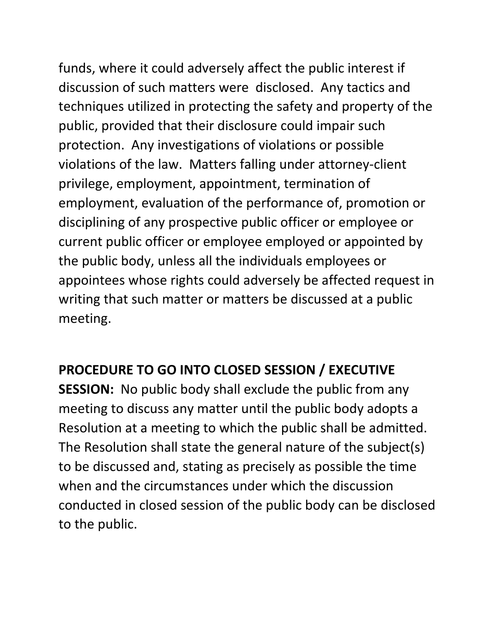funds, where it could adversely affect the public interest if discussion of such matters were disclosed. Any tactics and techniques utilized in protecting the safety and property of the public, provided that their disclosure could impair such protection. Any investigations of violations or possible violations of the law. Matters falling under attorney-client privilege, employment, appointment, termination of employment, evaluation of the performance of, promotion or disciplining of any prospective public officer or employee or current public officer or employee employed or appointed by the public body, unless all the individuals employees or appointees whose rights could adversely be affected request in writing that such matter or matters be discussed at a public meeting.

# **PROCEDURE TO GO INTO CLOSED SESSION / EXECUTIVE**

**SESSION:** No public body shall exclude the public from any meeting to discuss any matter until the public body adopts a Resolution at a meeting to which the public shall be admitted. The Resolution shall state the general nature of the subject(s) to be discussed and, stating as precisely as possible the time when and the circumstances under which the discussion conducted in closed session of the public body can be disclosed to the public.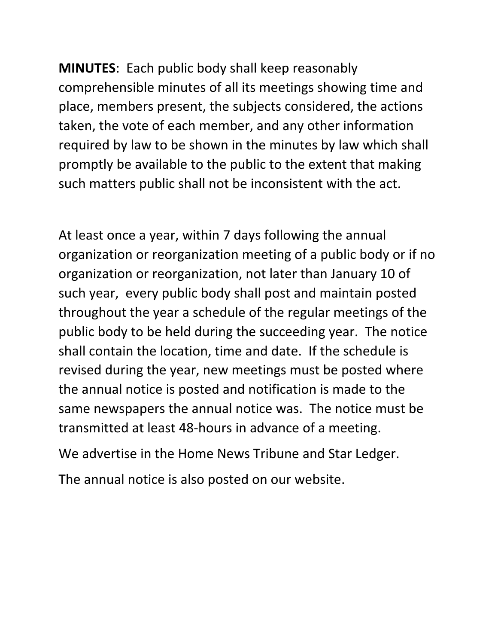**MINUTES**: Each public body shall keep reasonably comprehensible minutes of all its meetings showing time and place, members present, the subjects considered, the actions taken, the vote of each member, and any other information required by law to be shown in the minutes by law which shall promptly be available to the public to the extent that making such matters public shall not be inconsistent with the act.

At least once a year, within 7 days following the annual organization or reorganization meeting of a public body or if no organization or reorganization, not later than January 10 of such year, every public body shall post and maintain posted throughout the year a schedule of the regular meetings of the public body to be held during the succeeding year. The notice shall contain the location, time and date. If the schedule is revised during the year, new meetings must be posted where the annual notice is posted and notification is made to the same newspapers the annual notice was. The notice must be transmitted at least 48-hours in advance of a meeting.

We advertise in the Home News Tribune and Star Ledger.

The annual notice is also posted on our website.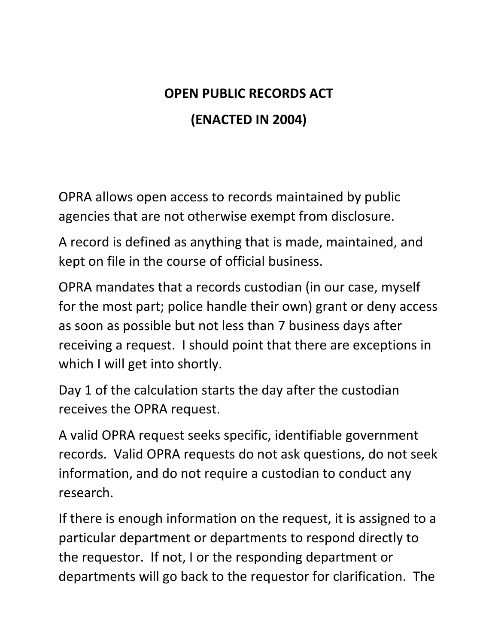# **OPEN PUBLIC RECORDS ACT (ENACTED IN 2004)**

OPRA allows open access to records maintained by public agencies that are not otherwise exempt from disclosure.

A record is defined as anything that is made, maintained, and kept on file in the course of official business.

OPRA mandates that a records custodian (in our case, myself for the most part; police handle their own) grant or deny access as soon as possible but not less than 7 business days after receiving a request. I should point that there are exceptions in which I will get into shortly.

Day 1 of the calculation starts the day after the custodian receives the OPRA request.

A valid OPRA request seeks specific, identifiable government records. Valid OPRA requests do not ask questions, do not seek information, and do not require a custodian to conduct any research.

If there is enough information on the request, it is assigned to a particular department or departments to respond directly to the requestor. If not, I or the responding department or departments will go back to the requestor for clarification. The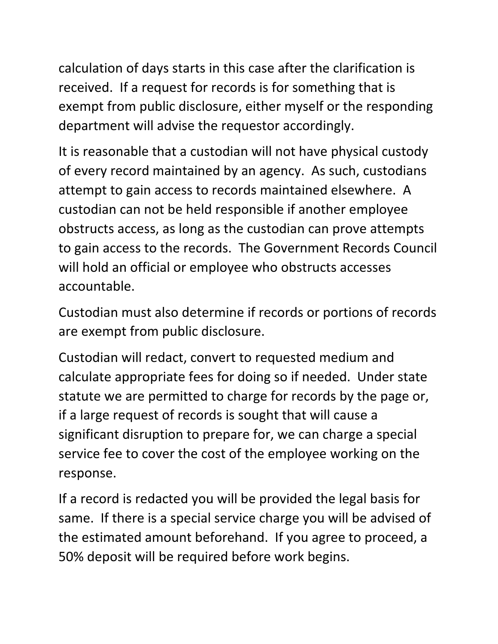calculation of days starts in this case after the clarification is received. If a request for records is for something that is exempt from public disclosure, either myself or the responding department will advise the requestor accordingly.

It is reasonable that a custodian will not have physical custody of every record maintained by an agency. As such, custodians attempt to gain access to records maintained elsewhere. A custodian can not be held responsible if another employee obstructs access, as long as the custodian can prove attempts to gain access to the records. The Government Records Council will hold an official or employee who obstructs accesses accountable.

Custodian must also determine if records or portions of records are exempt from public disclosure.

Custodian will redact, convert to requested medium and calculate appropriate fees for doing so if needed. Under state statute we are permitted to charge for records by the page or, if a large request of records is sought that will cause a significant disruption to prepare for, we can charge a special service fee to cover the cost of the employee working on the response.

If a record is redacted you will be provided the legal basis for same. If there is a special service charge you will be advised of the estimated amount beforehand. If you agree to proceed, a 50% deposit will be required before work begins.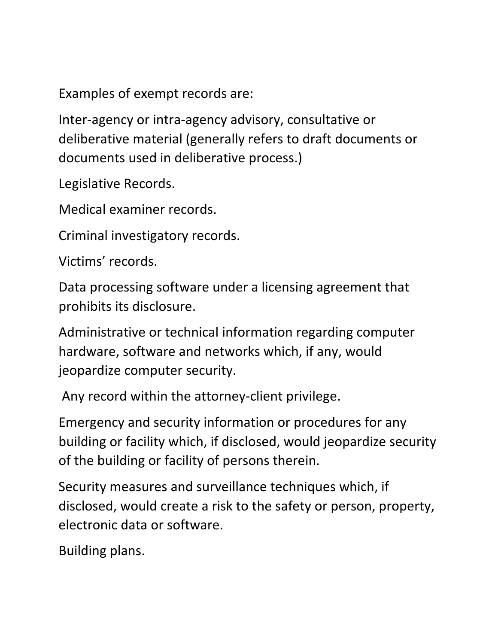Examples of exempt records are:

Inter-agency or intra-agency advisory, consultative or deliberative material (generally refers to draft documents or documents used in deliberative process.)

Legislative Records.

Medical examiner records.

Criminal investigatory records.

Victims' records.

Data processing software under a licensing agreement that prohibits its disclosure.

Administrative or technical information regarding computer hardware, software and networks which, if any, would jeopardize computer security.

Any record within the attorney-client privilege.

Emergency and security information or procedures for any building or facility which, if disclosed, would jeopardize security of the building or facility of persons therein.

Security measures and surveillance techniques which, if disclosed, would create a risk to the safety or person, property, electronic data or software.

Building plans.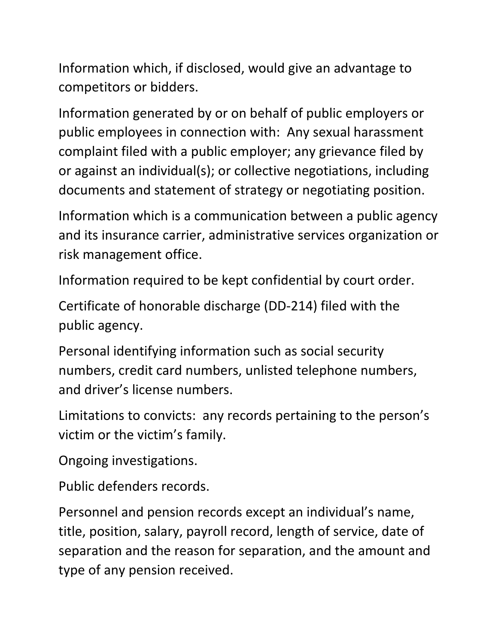Information which, if disclosed, would give an advantage to competitors or bidders.

Information generated by or on behalf of public employers or public employees in connection with: Any sexual harassment complaint filed with a public employer; any grievance filed by or against an individual(s); or collective negotiations, including documents and statement of strategy or negotiating position.

Information which is a communication between a public agency and its insurance carrier, administrative services organization or risk management office.

Information required to be kept confidential by court order.

Certificate of honorable discharge (DD-214) filed with the public agency.

Personal identifying information such as social security numbers, credit card numbers, unlisted telephone numbers, and driver's license numbers.

Limitations to convicts: any records pertaining to the person's victim or the victim's family.

Ongoing investigations.

Public defenders records.

Personnel and pension records except an individual's name, title, position, salary, payroll record, length of service, date of separation and the reason for separation, and the amount and type of any pension received.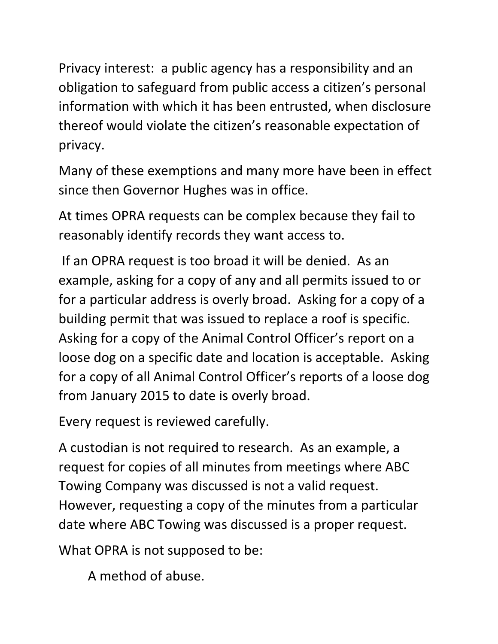Privacy interest: a public agency has a responsibility and an obligation to safeguard from public access a citizen's personal information with which it has been entrusted, when disclosure thereof would violate the citizen's reasonable expectation of privacy.

Many of these exemptions and many more have been in effect since then Governor Hughes was in office.

At times OPRA requests can be complex because they fail to reasonably identify records they want access to.

If an OPRA request is too broad it will be denied. As an example, asking for a copy of any and all permits issued to or for a particular address is overly broad. Asking for a copy of a building permit that was issued to replace a roof is specific. Asking for a copy of the Animal Control Officer's report on a loose dog on a specific date and location is acceptable. Asking for a copy of all Animal Control Officer's reports of a loose dog from January 2015 to date is overly broad.

Every request is reviewed carefully.

A custodian is not required to research. As an example, a request for copies of all minutes from meetings where ABC Towing Company was discussed is not a valid request. However, requesting a copy of the minutes from a particular date where ABC Towing was discussed is a proper request.

What OPRA is not supposed to be:

A method of abuse.